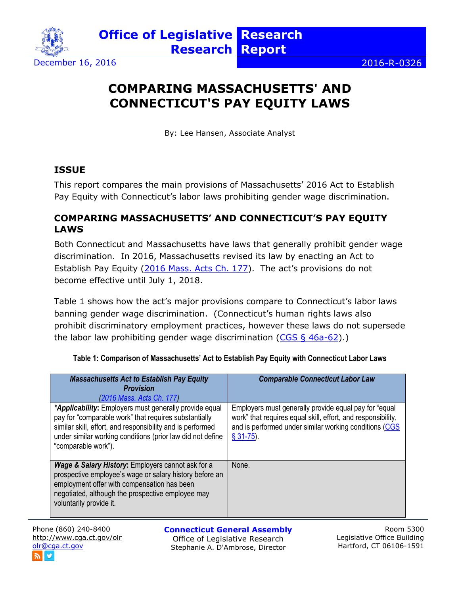

December 16, 2016 **2016 2016 2016 2016 2016** 

## **COMPARING MASSACHUSETTS' AND CONNECTICUT'S PAY EQUITY LAWS**

By: Lee Hansen, Associate Analyst

## **ISSUE**

This report compares the main provisions of Massachusetts' 2016 Act to Establish Pay Equity with Connecticut's labor laws prohibiting gender wage discrimination.

## **COMPARING MASSACHUSETTS' AND CONNECTICUT'S PAY EQUITY LAWS**

Both Connecticut and Massachusetts have laws that generally prohibit gender wage discrimination. In 2016, Massachusetts revised its law by enacting an Act to Establish Pay Equity [\(2016 Mass. Acts Ch. 177\)](https://malegislature.gov/Laws/SessionLaws/Acts/2016/Chapter177). The act's provisions do not become effective until July 1, 2018.

Table 1 shows how the act's major provisions compare to Connecticut's labor laws banning gender wage discrimination. (Connecticut's human rights laws also prohibit discriminatory employment practices, however these laws do not supersede the labor law prohibiting gender wage discrimination ( $CGS \S 46a-62$ ).)

| <b>Massachusetts Act to Establish Pay Equity</b><br><b>Provision</b>                                                                                                                                                                                               | <b>Comparable Connecticut Labor Law</b>                                                                                                                                                        |
|--------------------------------------------------------------------------------------------------------------------------------------------------------------------------------------------------------------------------------------------------------------------|------------------------------------------------------------------------------------------------------------------------------------------------------------------------------------------------|
| (2016 Mass. Acts Ch. 177)                                                                                                                                                                                                                                          |                                                                                                                                                                                                |
| *Applicability: Employers must generally provide equal<br>pay for "comparable work" that requires substantially<br>similar skill, effort, and responsibility and is performed<br>under similar working conditions (prior law did not define<br>"comparable work"). | Employers must generally provide equal pay for "equal<br>work" that requires equal skill, effort, and responsibility,<br>and is performed under similar working conditions (CGS<br>$$31-75$ ). |
| <b>Wage &amp; Salary History:</b> Employers cannot ask for a<br>prospective employee's wage or salary history before an<br>employment offer with compensation has been<br>negotiated, although the prospective employee may<br>voluntarily provide it.             | None.                                                                                                                                                                                          |

**Table 1: Comparison of Massachusetts' Act to Establish Pay Equity with Connecticut Labor Laws**

Phone (860) 240-8400 <http://www.cga.ct.gov/olr> [olr@cga.ct.gov](mailto:olr@cga.ct.gov)

**Connecticut General Assembly**

Office of Legislative Research Stephanie A. D'Ambrose, Director

Room 5300 Legislative Office Building Hartford, CT 06106-1591